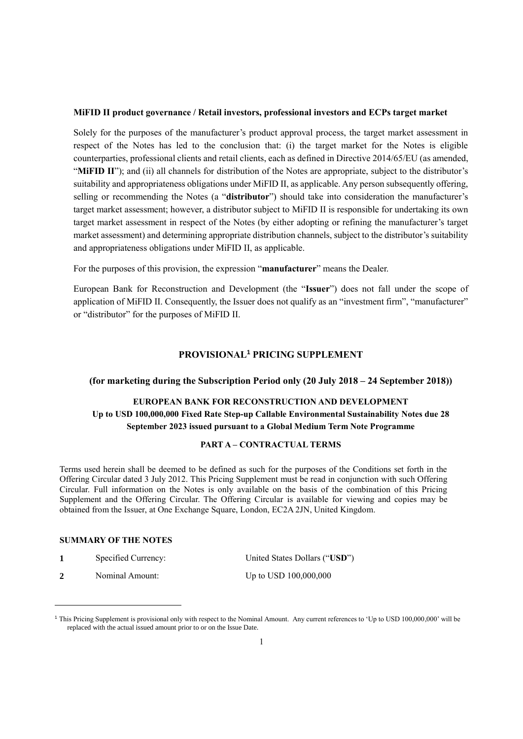## **MiFID II product governance / Retail investors, professional investors and ECPs target market**

Solely for the purposes of the manufacturer's product approval process, the target market assessment in respect of the Notes has led to the conclusion that: (i) the target market for the Notes is eligible counterparties, professional clients and retail clients, each as defined in Directive 2014/65/EU (as amended, "MiFID II"); and (ii) all channels for distribution of the Notes are appropriate, subject to the distributor's suitability and appropriateness obligations under MiFID II, as applicable. Any person subsequently offering, selling or recommending the Notes (a "**distributor**") should take into consideration the manufacturer's target market assessment; however, a distributor subject to MiFID II is responsible for undertaking its own target market assessment in respect of the Notes (by either adopting or refining the manufacturer's target market assessment) and determining appropriate distribution channels, subject to the distributor's suitability and appropriateness obligations under MiFID II, as applicable.

For the purposes of this provision, the expression "**manufacturer**" means the Dealer.

European Bank for Reconstruction and Development (the "**Issuer**") does not fall under the scope of application of MiFID II. Consequently, the Issuer does not qualify as an "investment firm", "manufacturer" or "distributor" for the purposes of MiFID II.

# **PROVISIONAL<sup>1</sup> PRICING SUPPLEMENT**

#### **(for marketing during the Subscription Period only (20 July 2018 – 24 September 2018))**

# **EUROPEAN BANK FOR RECONSTRUCTION AND DEVELOPMENT Up to USD 100,000,000 Fixed Rate Step-up Callable Environmental Sustainability Notes due 28 September 2023 issued pursuant to a Global Medium Term Note Programme**

## **PART A – CONTRACTUAL TERMS**

Terms used herein shall be deemed to be defined as such for the purposes of the Conditions set forth in the Offering Circular dated 3 July 2012. This Pricing Supplement must be read in conjunction with such Offering Circular. Full information on the Notes is only available on the basis of the combination of this Pricing Supplement and the Offering Circular. The Offering Circular is available for viewing and copies may be obtained from the Issuer, at One Exchange Square, London, EC2A 2JN, United Kingdom.

#### **SUMMARY OF THE NOTES**

 $\overline{a}$ 

| Specified Currency: | United States Dollars ("USD") |
|---------------------|-------------------------------|
| Nominal Amount:     | Up to USD $100,000,000$       |

<sup>&</sup>lt;sup>1</sup> This Pricing Supplement is provisional only with respect to the Nominal Amount. Any current references to 'Up to USD 100,000,000' will be replaced with the actual issued amount prior to or on the Issue Date.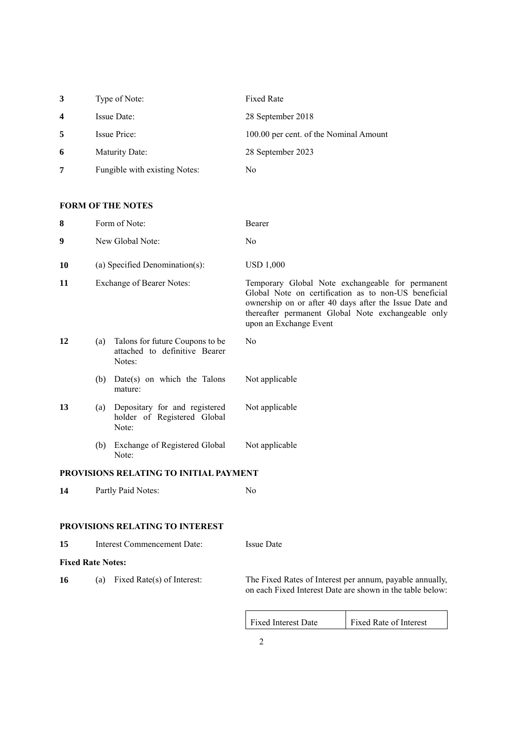| 3                | Type of Note:                 | <b>Fixed Rate</b>                      |
|------------------|-------------------------------|----------------------------------------|
| $\boldsymbol{4}$ | Issue Date:                   | 28 September 2018                      |
| 5                | <b>Issue Price:</b>           | 100.00 per cent. of the Nominal Amount |
| 6                | Maturity Date:                | 28 September 2023                      |
| 7                | Fungible with existing Notes: | No                                     |

# **FORM OF THE NOTES**

| 8                        |     | Form of Note:                                                              | Bearer                                                                                                                                                                                                                                             |
|--------------------------|-----|----------------------------------------------------------------------------|----------------------------------------------------------------------------------------------------------------------------------------------------------------------------------------------------------------------------------------------------|
| 9                        |     | New Global Note:                                                           | No                                                                                                                                                                                                                                                 |
| 10                       |     | (a) Specified Denomination(s):                                             | <b>USD 1,000</b>                                                                                                                                                                                                                                   |
| 11                       |     | <b>Exchange of Bearer Notes:</b>                                           | Temporary Global Note exchangeable for permanent<br>Global Note on certification as to non-US beneficial<br>ownership on or after 40 days after the Issue Date and<br>thereafter permanent Global Note exchangeable only<br>upon an Exchange Event |
| 12                       | (a) | Talons for future Coupons to be<br>attached to definitive Bearer<br>Notes: | N <sub>0</sub>                                                                                                                                                                                                                                     |
|                          | (b) | $Date(s)$ on which the Talons<br>mature:                                   | Not applicable                                                                                                                                                                                                                                     |
| 13                       | (a) | Depositary for and registered<br>holder of Registered Global<br>Note:      | Not applicable                                                                                                                                                                                                                                     |
|                          | (b) | Exchange of Registered Global<br>Note:                                     | Not applicable                                                                                                                                                                                                                                     |
|                          |     | PROVISIONS RELATING TO INITIAL PAYMENT                                     |                                                                                                                                                                                                                                                    |
| 14                       |     | Partly Paid Notes:                                                         | N <sub>0</sub>                                                                                                                                                                                                                                     |
|                          |     | PROVISIONS RELATING TO INTEREST                                            |                                                                                                                                                                                                                                                    |
| 15                       |     | Interest Commencement Date:                                                | <b>Issue Date</b>                                                                                                                                                                                                                                  |
| <b>Fixed Rate Notes:</b> |     |                                                                            |                                                                                                                                                                                                                                                    |

**16** (a) Fixed Rate(s) of Interest: The Fixed Rates of Interest per annum, payable annually, on each Fixed Interest Date are shown in the table below: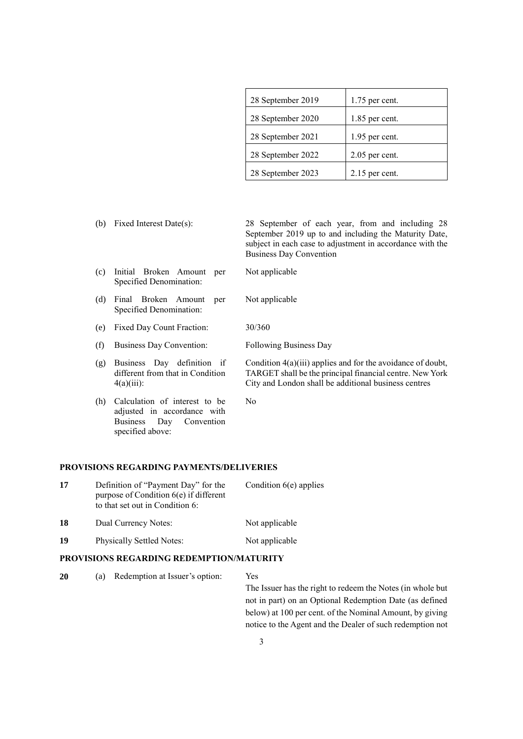| 28 September 2019 | $1.75$ per cent. |
|-------------------|------------------|
| 28 September 2020 | 1.85 per cent.   |
| 28 September 2021 | 1.95 per cent.   |
| 28 September 2022 | $2.05$ per cent. |
| 28 September 2023 | $2.15$ per cent. |

(b) Fixed Interest Date(s): 28 September of each year, from and including 28 September 2019 up to and including the Maturity Date, subject in each case to adjustment in accordance with the Business Day Convention (c) Initial Broken Amount per Specified Denomination: Not applicable (d) Final Broken Amount per Specified Denomination: Not applicable (e) Fixed Day Count Fraction: 30/360 (f) Business Day Convention: Following Business Day (g) Business Day definition if different from that in Condition  $4(a)(iii)$ : Condition 4(a)(iii) applies and for the avoidance of doubt, TARGET shall be the principal financial centre. New York City and London shall be additional business centres (h) Calculation of interest to be adjusted in accordance with Business Day Convention No

## **PROVISIONS REGARDING PAYMENTS/DELIVERIES**

specified above:

| 17 | Definition of "Payment Day" for the<br>purpose of Condition $6(e)$ if different<br>to that set out in Condition 6: | Condition $6(e)$ applies |  |
|----|--------------------------------------------------------------------------------------------------------------------|--------------------------|--|
| 18 | Dual Currency Notes:                                                                                               | Not applicable           |  |
| 19 | Physically Settled Notes:                                                                                          | Not applicable           |  |

#### **PROVISIONS REGARDING REDEMPTION/MATURITY**

| 20 | (a) | Redemption at Issuer's option: | Yes                                                            |
|----|-----|--------------------------------|----------------------------------------------------------------|
|    |     |                                | The Issuer has the right to redeem the Notes (in whole but     |
|    |     |                                | not in part) on an Optional Redemption Date (as defined        |
|    |     |                                | $h$ olove) of 100 novembre of the Monumel Amount $h\nu$ giving |

below) at 100 per cent. of the Nominal Amount, by giving notice to the Agent and the Dealer of such redemption not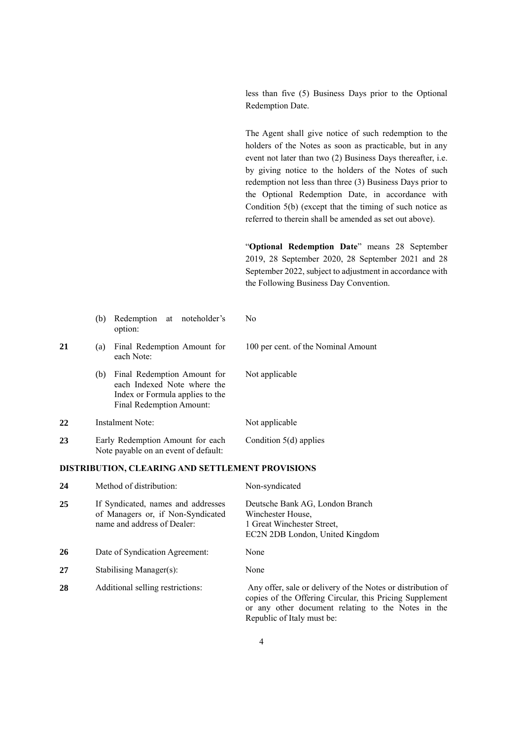less than five (5) Business Days prior to the Optional Redemption Date.

The Agent shall give notice of such redemption to the holders of the Notes as soon as practicable, but in any event not later than two (2) Business Days thereafter, i.e. by giving notice to the holders of the Notes of such redemption not less than three (3) Business Days prior to the Optional Redemption Date, in accordance with Condition 5(b) (except that the timing of such notice as referred to therein shall be amended as set out above).

"**Optional Redemption Date**" means 28 September 2019, 28 September 2020, 28 September 2021 and 28 September 2022, subject to adjustment in accordance with the Following Business Day Convention.

|    | Redemption at noteholder's<br>(b)<br>option:                                                                                     | N <sub>0</sub>                      |
|----|----------------------------------------------------------------------------------------------------------------------------------|-------------------------------------|
| 21 | Final Redemption Amount for<br>(a)<br>each Note:                                                                                 | 100 per cent. of the Nominal Amount |
|    | Final Redemption Amount for<br>(b)<br>each Indexed Note where the<br>Index or Formula applies to the<br>Final Redemption Amount: | Not applicable                      |
| 22 | Instalment Note:                                                                                                                 | Not applicable                      |
| 23 | Early Redemption Amount for each<br>Note payable on an event of default:                                                         | Condition $5(d)$ applies            |

### **DISTRIBUTION, CLEARING AND SETTLEMENT PROVISIONS**

| 24 | Method of distribution:                                                                                | Non-syndicated                                                                                                                                                                                              |
|----|--------------------------------------------------------------------------------------------------------|-------------------------------------------------------------------------------------------------------------------------------------------------------------------------------------------------------------|
| 25 | If Syndicated, names and addresses<br>of Managers or, if Non-Syndicated<br>name and address of Dealer: | Deutsche Bank AG, London Branch<br>Winchester House.<br>1 Great Winchester Street.<br>EC2N 2DB London, United Kingdom                                                                                       |
| 26 | Date of Syndication Agreement:                                                                         | None                                                                                                                                                                                                        |
| 27 | Stabilising Manager(s):                                                                                | None                                                                                                                                                                                                        |
| 28 | Additional selling restrictions:                                                                       | Any offer, sale or delivery of the Notes or distribution of<br>copies of the Offering Circular, this Pricing Supplement<br>or any other document relating to the Notes in the<br>Republic of Italy must be: |

 $\overline{N}$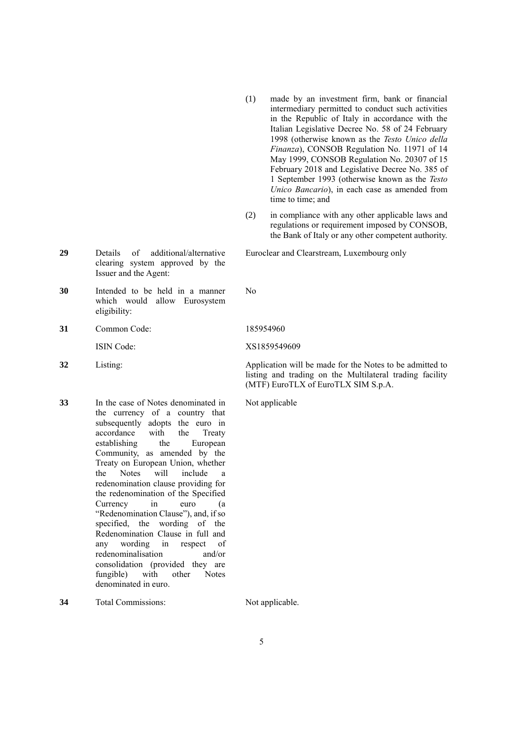- (1) made by an investment firm, bank or financial intermediary permitted to conduct such activities in the Republic of Italy in accordance with the Italian Legislative Decree No. 58 of 24 February 1998 (otherwise known as the *Testo Unico della Finanza*), CONSOB Regulation No. 11971 of 14 May 1999, CONSOB Regulation No. 20307 of 15 February 2018 and Legislative Decree No. 385 of 1 September 1993 (otherwise known as the *Testo Unico Bancario*), in each case as amended from time to time; and
- (2) in compliance with any other applicable laws and regulations or requirement imposed by CONSOB, the Bank of Italy or any other competent authority.

listing and trading on the Multilateral trading facility

(MTF) EuroTLX of EuroTLX SIM S.p.A.

Euroclear and Clearstream, Luxembourg only

- **29** Details of additional/alternative clearing system approved by the Issuer and the Agent:
- **30** Intended to be held in a manner which would allow Eurosystem eligibility:
- **31** Common Code: 185954960

ISIN Code: XS1859549609

- **32** Listing: Application will be made for the Notes to be admitted to
- **33** In the case of Notes denominated in the currency of a country that subsequently adopts the euro in accordance with the Treaty establishing the European Community, as amended by the Treaty on European Union, whether the Notes will include a redenomination clause providing for the redenomination of the Specified Currency in euro (a "Redenomination Clause"), and, if so specified, the wording of the Redenomination Clause in full and any wording in respect of redenominalisation and/or consolidation (provided they are fungible) with other Notes denominated in euro.

Not applicable

No

**34** Total Commissions: Not applicable.

5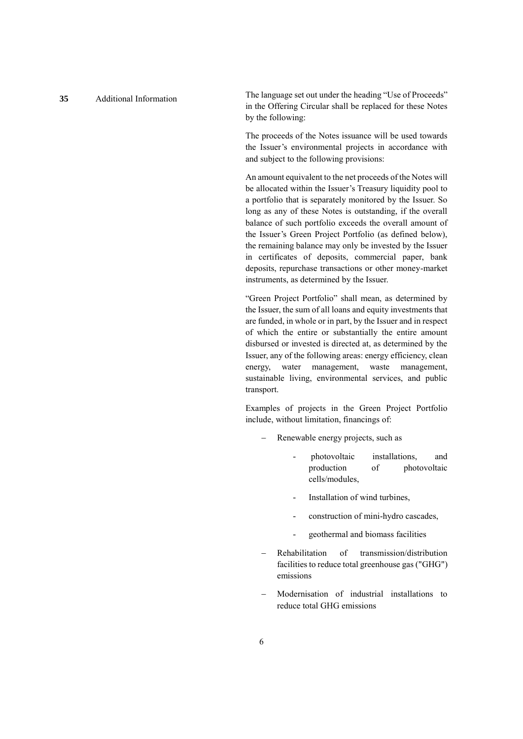**<sup>35</sup>** Additional Information The language set out under the heading "Use of Proceeds" in the Offering Circular shall be replaced for these Notes by the following:

> The proceeds of the Notes issuance will be used towards the Issuer's environmental projects in accordance with and subject to the following provisions:

> An amount equivalent to the net proceeds of the Notes will be allocated within the Issuer's Treasury liquidity pool to a portfolio that is separately monitored by the Issuer. So long as any of these Notes is outstanding, if the overall balance of such portfolio exceeds the overall amount of the Issuer's Green Project Portfolio (as defined below), the remaining balance may only be invested by the Issuer in certificates of deposits, commercial paper, bank deposits, repurchase transactions or other money-market instruments, as determined by the Issuer.

> "Green Project Portfolio" shall mean, as determined by the Issuer, the sum of all loans and equity investments that are funded, in whole or in part, by the Issuer and in respect of which the entire or substantially the entire amount disbursed or invested is directed at, as determined by the Issuer, any of the following areas: energy efficiency, clean energy, water management, waste management, sustainable living, environmental services, and public transport.

> Examples of projects in the Green Project Portfolio include, without limitation, financings of:

- Renewable energy projects, such as
	- photovoltaic installations, and production of photovoltaic cells/modules,
	- Installation of wind turbines.
	- construction of mini-hydro cascades,
	- geothermal and biomass facilities
- Rehabilitation of transmission/distribution facilities to reduce total greenhouse gas ("GHG") emissions
- Modernisation of industrial installations to reduce total GHG emissions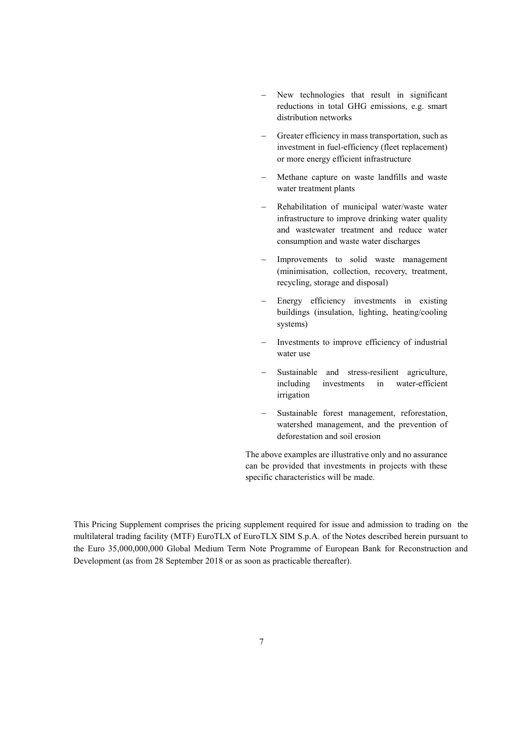- New technologies that result in significant reductions in total GHG emissions, e.g. smart distribution networks
- Greater efficiency in mass transportation, such as investment in fuel-efficiency (fleet replacement) or more energy efficient infrastructure
- Methane capture on waste landfills and waste water treatment plants
- Rehabilitation of municipal water/waste water infrastructure to improve drinking water quality and wastewater treatment and reduce water consumption and waste water discharges
- Improvements to solid waste management (minimisation, collection, recovery, treatment, recycling, storage and disposal)
- Energy efficiency investments in existing buildings (insulation, lighting, heating/cooling systems)
- Investments to improve efficiency of industrial water use
- Sustainable and stress-resilient agriculture, including investments in water-efficient irrigation
- Sustainable forest management, reforestation, watershed management, and the prevention of deforestation and soil erosion

The above examples are illustrative only and no assurance can be provided that investments in projects with these specific characteristics will be made.

This Pricing Supplement comprises the pricing supplement required for issue and admission to trading on the multilateral trading facility (MTF) EuroTLX of EuroTLX SIM S.p.A. of the Notes described herein pursuant to the Euro 35,000,000,000 Global Medium Term Note Programme of European Bank for Reconstruction and Development (as from 28 September 2018 or as soon as practicable thereafter).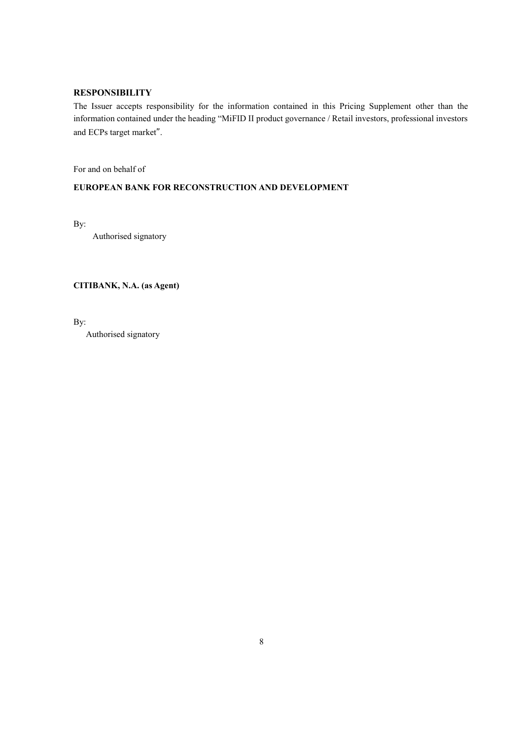# **RESPONSIBILITY**

The Issuer accepts responsibility for the information contained in this Pricing Supplement other than the information contained under the heading "MiFID II product governance / Retail investors, professional investors and ECPs target market".

For and on behalf of

# **EUROPEAN BANK FOR RECONSTRUCTION AND DEVELOPMENT**

By:

Authorised signatory

**CITIBANK, N.A. (as Agent)**

By:

Authorised signatory